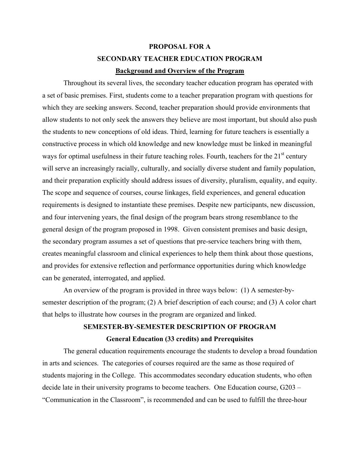# **PROPOSAL FOR A SECONDARY TEACHER EDUCATION PROGRAM Background and Overview of the Program**

Throughout its several lives, the secondary teacher education program has operated with a set of basic premises. First, students come to a teacher preparation program with questions for which they are seeking answers. Second, teacher preparation should provide environments that allow students to not only seek the answers they believe are most important, but should also push the students to new conceptions of old ideas. Third, learning for future teachers is essentially a constructive process in which old knowledge and new knowledge must be linked in meaningful ways for optimal usefulness in their future teaching roles. Fourth, teachers for the  $21<sup>st</sup>$  century will serve an increasingly racially, culturally, and socially diverse student and family population, and their preparation explicitly should address issues of diversity, pluralism, equality, and equity. The scope and sequence of courses, course linkages, field experiences, and general education requirements is designed to instantiate these premises. Despite new participants, new discussion, and four intervening years, the final design of the program bears strong resemblance to the general design of the program proposed in 1998. Given consistent premises and basic design, the secondary program assumes a set of questions that pre-service teachers bring with them, creates meaningful classroom and clinical experiences to help them think about those questions, and provides for extensive reflection and performance opportunities during which knowledge can be generated, interrogated, and applied.

An overview of the program is provided in three ways below: (1) A semester-bysemester description of the program; (2) A brief description of each course; and (3) A color chart that helps to illustrate how courses in the program are organized and linked.

# **SEMESTER-BY-SEMESTER DESCRIPTION OF PROGRAM General Education (33 credits) and Prerequisites**

The general education requirements encourage the students to develop a broad foundation in arts and sciences. The categories of courses required are the same as those required of students majoring in the College. This accommodates secondary education students, who often decide late in their university programs to become teachers. One Education course, G203 – "Communication in the Classroom", is recommended and can be used to fulfill the three-hour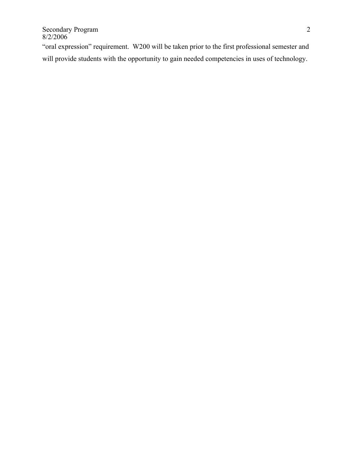"oral expression" requirement. W200 will be taken prior to the first professional semester and will provide students with the opportunity to gain needed competencies in uses of technology.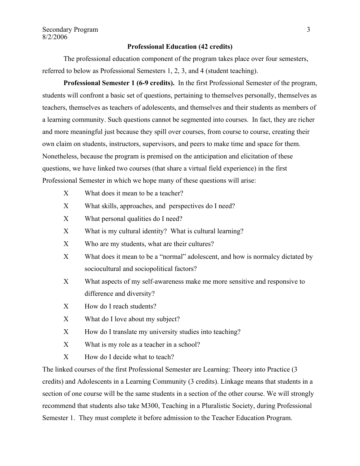### **Professional Education (42 credits)**

 The professional education component of the program takes place over four semesters, referred to below as Professional Semesters 1, 2, 3, and 4 (student teaching).

**Professional Semester 1 (6-9 credits).** In the first Professional Semester of the program, students will confront a basic set of questions, pertaining to themselves personally, themselves as teachers, themselves as teachers of adolescents, and themselves and their students as members of a learning community. Such questions cannot be segmented into courses. In fact, they are richer and more meaningful just because they spill over courses, from course to course, creating their own claim on students, instructors, supervisors, and peers to make time and space for them. Nonetheless, because the program is premised on the anticipation and elicitation of these questions, we have linked two courses (that share a virtual field experience) in the first Professional Semester in which we hope many of these questions will arise:

- Χ What does it mean to be a teacher?
- Χ What skills, approaches, and perspectives do I need?
- Χ What personal qualities do I need?
- Χ What is my cultural identity? What is cultural learning?
- X Who are my students, what are their cultures?
- Χ What does it mean to be a "normal" adolescent, and how is normalcy dictated by sociocultural and sociopolitical factors?
- X What aspects of my self-awareness make me more sensitive and responsive to difference and diversity?
- Χ How do I reach students?
- Χ What do I love about my subject?
- X How do I translate my university studies into teaching?
- Χ What is my role as a teacher in a school?
- Χ How do I decide what to teach?

The linked courses of the first Professional Semester are Learning: Theory into Practice (3 credits) and Adolescents in a Learning Community (3 credits). Linkage means that students in a section of one course will be the same students in a section of the other course. We will strongly recommend that students also take M300, Teaching in a Pluralistic Society, during Professional Semester 1. They must complete it before admission to the Teacher Education Program.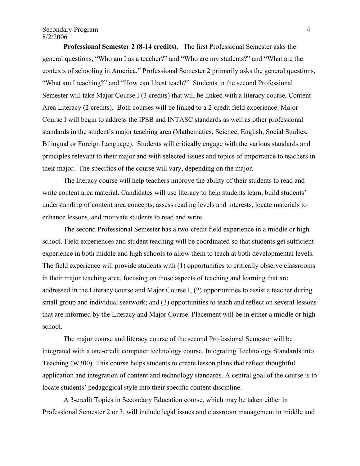#### Secondary Program 4 8/2/2006

**Professional Semester 2 (8-14 credits).** The first Professional Semester asks the general questions, "Who am I as a teacher?" and "Who are my students?" and "What are the contexts of schooling in America," Professional Semester 2 primarily asks the general questions, "What am I teaching?" and "How can I best teach?" Students in the second Professional Semester will take Major Course I (3 credits) that will be linked with a literacy course, Content Area Literacy (2 credits). Both courses will be linked to a 2-credit field experience. Major Course I will begin to address the IPSB and INTASC standards as well as other professional standards in the student's major teaching area (Mathematics, Science, English, Social Studies, Bilingual or Foreign Language). Students will critically engage with the various standards and principles relevant to their major and with selected issues and topics of importance to teachers in their major. The specifics of the course will vary, depending on the major.

The literacy course will help teachers improve the ability of their students to read and write content area material. Candidates will use literacy to help students learn, build students' understanding of content area concepts, assess reading levels and interests, locate materials to enhance lessons, and motivate students to read and write.

 The second Professional Semester has a two-credit field experience in a middle or high school. Field experiences and student teaching will be coordinated so that students get sufficient experience in both middle and high schools to allow them to teach at both developmental levels. The field experience will provide students with (1) opportunities to critically observe classrooms in their major teaching area, focusing on those aspects of teaching and learning that are addressed in the Literacy course and Major Course I, (2) opportunities to assist a teacher during small group and individual seatwork; and (3) opportunities to teach and reflect on several lessons that are informed by the Literacy and Major Course. Placement will be in either a middle or high school.

The major course and literacy course of the second Professional Semester will be integrated with a one-credit computer technology course, Integrating Technology Standards into Teaching (W300). This course helps students to create lesson plans that reflect thoughtful application and integration of content and technology standards. A central goal of the course is to locate students' pedagogical style into their specific content discipline.

 A 3-credit Topics in Secondary Education course, which may be taken either in Professional Semester 2 or 3, will include legal issues and classroom management in middle and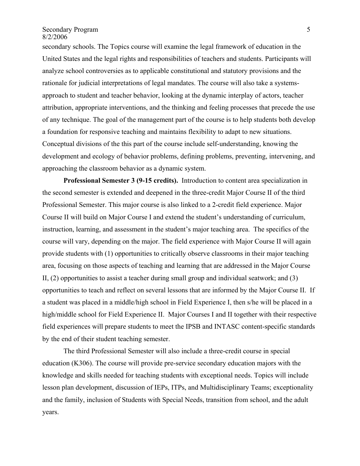Secondary Program 5 8/2/2006

secondary schools. The Topics course will examine the legal framework of education in the United States and the legal rights and responsibilities of teachers and students. Participants will analyze school controversies as to applicable constitutional and statutory provisions and the rationale for judicial interpretations of legal mandates. The course will also take a systemsapproach to student and teacher behavior, looking at the dynamic interplay of actors, teacher attribution, appropriate interventions, and the thinking and feeling processes that precede the use of any technique. The goal of the management part of the course is to help students both develop a foundation for responsive teaching and maintains flexibility to adapt to new situations. Conceptual divisions of the this part of the course include self-understanding, knowing the development and ecology of behavior problems, defining problems, preventing, intervening, and approaching the classroom behavior as a dynamic system.

**Professional Semester 3 (9-15 credits).** Introduction to content area specialization in the second semester is extended and deepened in the three-credit Major Course II of the third Professional Semester. This major course is also linked to a 2-credit field experience. Major Course II will build on Major Course I and extend the student's understanding of curriculum, instruction, learning, and assessment in the student's major teaching area. The specifics of the course will vary, depending on the major. The field experience with Major Course II will again provide students with (1) opportunities to critically observe classrooms in their major teaching area, focusing on those aspects of teaching and learning that are addressed in the Major Course II, (2) opportunities to assist a teacher during small group and individual seatwork; and (3) opportunities to teach and reflect on several lessons that are informed by the Major Course II. If a student was placed in a middle/high school in Field Experience I, then s/he will be placed in a high/middle school for Field Experience II. Major Courses I and II together with their respective field experiences will prepare students to meet the IPSB and INTASC content-specific standards by the end of their student teaching semester.

 The third Professional Semester will also include a three-credit course in special education (K306). The course will provide pre-service secondary education majors with the knowledge and skills needed for teaching students with exceptional needs. Topics will include lesson plan development, discussion of IEPs, ITPs, and Multidisciplinary Teams; exceptionality and the family, inclusion of Students with Special Needs, transition from school, and the adult years.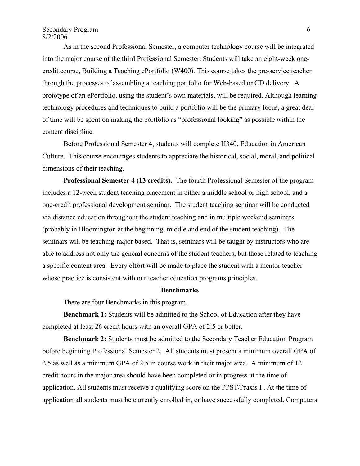## Secondary Program 6 8/2/2006

 As in the second Professional Semester, a computer technology course will be integrated into the major course of the third Professional Semester. Students will take an eight-week onecredit course, Building a Teaching ePortfolio (W400). This course takes the pre-service teacher through the processes of assembling a teaching portfolio for Web-based or CD delivery. A prototype of an ePortfolio, using the student's own materials, will be required. Although learning technology procedures and techniques to build a portfolio will be the primary focus, a great deal of time will be spent on making the portfolio as "professional looking" as possible within the content discipline.

 Before Professional Semester 4, students will complete H340, Education in American Culture. This course encourages students to appreciate the historical, social, moral, and political dimensions of their teaching.

**Professional Semester 4 (13 credits).** The fourth Professional Semester of the program includes a 12-week student teaching placement in either a middle school or high school, and a one-credit professional development seminar. The student teaching seminar will be conducted via distance education throughout the student teaching and in multiple weekend seminars (probably in Bloomington at the beginning, middle and end of the student teaching). The seminars will be teaching-major based. That is, seminars will be taught by instructors who are able to address not only the general concerns of the student teachers, but those related to teaching a specific content area. Every effort will be made to place the student with a mentor teacher whose practice is consistent with our teacher education programs principles.

#### **Benchmarks**

There are four Benchmarks in this program.

**Benchmark 1:** Students will be admitted to the School of Education after they have completed at least 26 credit hours with an overall GPA of 2.5 or better.

**Benchmark 2:** Students must be admitted to the Secondary Teacher Education Program before beginning Professional Semester 2. All students must present a minimum overall GPA of 2.5 as well as a minimum GPA of 2.5 in course work in their major area. A minimum of 12 credit hours in the major area should have been completed or in progress at the time of application. All students must receive a qualifying score on the PPST/Praxis I . At the time of application all students must be currently enrolled in, or have successfully completed, Computers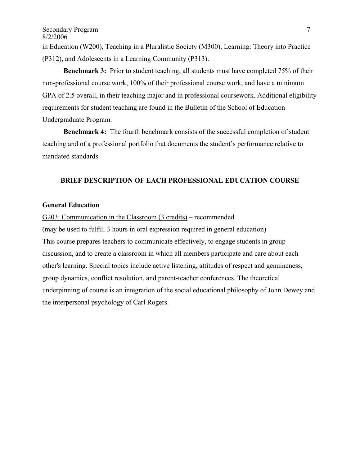Secondary Program 7 8/2/2006 in Education (W200), Teaching in a Pluralistic Society (M300), Learning: Theory into Practice (P312), and Adolescents in a Learning Community (P313).

**Benchmark 3:** Prior to student teaching, all students must have completed 75% of their non-professional course work, 100% of their professional course work, and have a minimum GPA of 2.5 overall, in their teaching major and in professional coursework. Additional eligibility requirements for student teaching are found in the Bulletin of the School of Education Undergraduate Program.

**Benchmark 4:** The fourth benchmark consists of the successful completion of student teaching and of a professional portfolio that documents the student's performance relative to mandated standards.

## **BRIEF DESCRIPTION OF EACH PROFESSIONAL EDUCATION COURSE**

# **General Education**

G203: Communication in the Classroom (3 credits) – recommended

(may be used to fulfill 3 hours in oral expression required in general education) This course prepares teachers to communicate effectively, to engage students in group discussion, and to create a classroom in which all members participate and care about each other's learning. Special topics include active listening, attitudes of respect and genuineness, group dynamics, conflict resolution, and parent-teacher conferences. The theoretical underpinning of course is an integration of the social educational philosophy of John Dewey and the interpersonal psychology of Carl Rogers.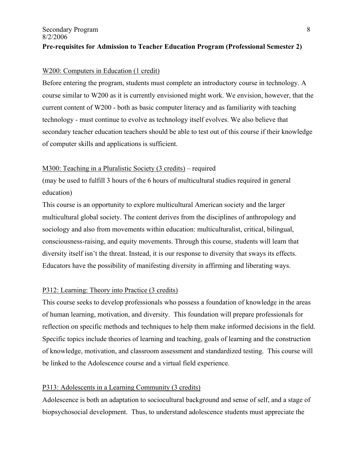# Secondary Program 8 8/2/2006 **Pre-requisites for Admission to Teacher Education Program (Professional Semester 2)**

## W<sub>200</sub>: Computers in Education (1 credit)

Before entering the program, students must complete an introductory course in technology. A course similar to W200 as it is currently envisioned might work. We envision, however, that the current content of W200 - both as basic computer literacy and as familiarity with teaching technology - must continue to evolve as technology itself evolves. We also believe that secondary teacher education teachers should be able to test out of this course if their knowledge of computer skills and applications is sufficient.

# M300: Teaching in a Pluralistic Society (3 credits) – required

(may be used to fulfill 3 hours of the 6 hours of multicultural studies required in general education)

This course is an opportunity to explore multicultural American society and the larger multicultural global society. The content derives from the disciplines of anthropology and sociology and also from movements within education: multiculturalist, critical, bilingual, consciousness-raising, and equity movements. Through this course, students will learn that diversity itself isn't the threat. Instead, it is our response to diversity that sways its effects. Educators have the possibility of manifesting diversity in affirming and liberating ways.

# P312: Learning: Theory into Practice (3 credits)

This course seeks to develop professionals who possess a foundation of knowledge in the areas of human learning, motivation, and diversity. This foundation will prepare professionals for reflection on specific methods and techniques to help them make informed decisions in the field. Specific topics include theories of learning and teaching, goals of learning and the construction of knowledge, motivation, and classroom assessment and standardized testing. This course will be linked to the Adolescence course and a virtual field experience.

# P313: Adolescents in a Learning Community (3 credits)

Adolescence is both an adaptation to sociocultural background and sense of self, and a stage of biopsychosocial development. Thus, to understand adolescence students must appreciate the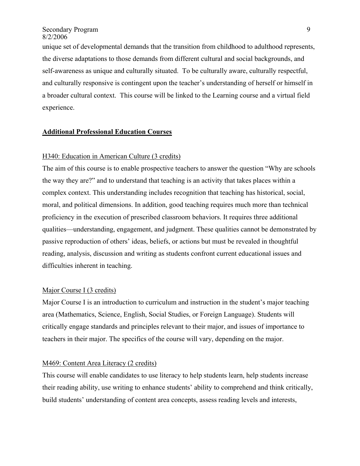unique set of developmental demands that the transition from childhood to adulthood represents, the diverse adaptations to those demands from different cultural and social backgrounds, and self-awareness as unique and culturally situated. To be culturally aware, culturally respectful, and culturally responsive is contingent upon the teacher's understanding of herself or himself in a broader cultural context. This course will be linked to the Learning course and a virtual field experience.

## **Additional Professional Education Courses**

# H340: Education in American Culture (3 credits)

The aim of this course is to enable prospective teachers to answer the question "Why are schools the way they are?" and to understand that teaching is an activity that takes places within a complex context. This understanding includes recognition that teaching has historical, social, moral, and political dimensions. In addition, good teaching requires much more than technical proficiency in the execution of prescribed classroom behaviors. It requires three additional qualities—understanding, engagement, and judgment. These qualities cannot be demonstrated by passive reproduction of others' ideas, beliefs, or actions but must be revealed in thoughtful reading, analysis, discussion and writing as students confront current educational issues and difficulties inherent in teaching.

#### Major Course I (3 credits)

Major Course I is an introduction to curriculum and instruction in the student's major teaching area (Mathematics, Science, English, Social Studies, or Foreign Language). Students will critically engage standards and principles relevant to their major, and issues of importance to teachers in their major. The specifics of the course will vary, depending on the major.

#### M469: Content Area Literacy (2 credits)

This course will enable candidates to use literacy to help students learn, help students increase their reading ability, use writing to enhance students' ability to comprehend and think critically, build students' understanding of content area concepts, assess reading levels and interests,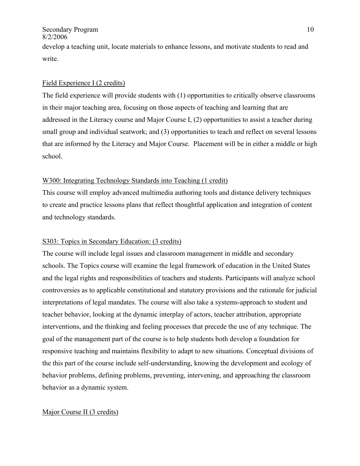#### Secondary Program 10 8/2/2006

develop a teaching unit, locate materials to enhance lessons, and motivate students to read and write.

# Field Experience I (2 credits)

The field experience will provide students with (1) opportunities to critically observe classrooms in their major teaching area, focusing on those aspects of teaching and learning that are addressed in the Literacy course and Major Course I, (2) opportunities to assist a teacher during small group and individual seatwork; and (3) opportunities to teach and reflect on several lessons that are informed by the Literacy and Major Course. Placement will be in either a middle or high school.

# W300: Integrating Technology Standards into Teaching (1 credit)

This course will employ advanced multimedia authoring tools and distance delivery techniques to create and practice lessons plans that reflect thoughtful application and integration of content and technology standards.

# S303: Topics in Secondary Education: (3 credits)

The course will include legal issues and classroom management in middle and secondary schools. The Topics course will examine the legal framework of education in the United States and the legal rights and responsibilities of teachers and students. Participants will analyze school controversies as to applicable constitutional and statutory provisions and the rationale for judicial interpretations of legal mandates. The course will also take a systems-approach to student and teacher behavior, looking at the dynamic interplay of actors, teacher attribution, appropriate interventions, and the thinking and feeling processes that precede the use of any technique. The goal of the management part of the course is to help students both develop a foundation for responsive teaching and maintains flexibility to adapt to new situations. Conceptual divisions of the this part of the course include self-understanding, knowing the development and ecology of behavior problems, defining problems, preventing, intervening, and approaching the classroom behavior as a dynamic system.

## Major Course II (3 credits)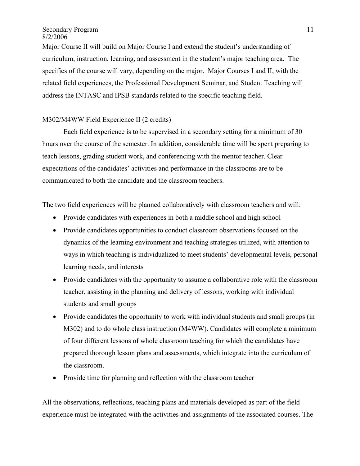Major Course II will build on Major Course I and extend the student's understanding of curriculum, instruction, learning, and assessment in the student's major teaching area. The specifics of the course will vary, depending on the major. Major Courses I and II, with the related field experiences, the Professional Development Seminar, and Student Teaching will address the INTASC and IPSB standards related to the specific teaching field.

# M302/M4WW Field Experience II (2 credits)

 Each field experience is to be supervised in a secondary setting for a minimum of 30 hours over the course of the semester. In addition, considerable time will be spent preparing to teach lessons, grading student work, and conferencing with the mentor teacher. Clear expectations of the candidates' activities and performance in the classrooms are to be communicated to both the candidate and the classroom teachers.

The two field experiences will be planned collaboratively with classroom teachers and will:

- Provide candidates with experiences in both a middle school and high school
- Provide candidates opportunities to conduct classroom observations focused on the dynamics of the learning environment and teaching strategies utilized, with attention to ways in which teaching is individualized to meet students' developmental levels, personal learning needs, and interests
- Provide candidates with the opportunity to assume a collaborative role with the classroom teacher, assisting in the planning and delivery of lessons, working with individual students and small groups
- Provide candidates the opportunity to work with individual students and small groups (in M302) and to do whole class instruction (M4WW). Candidates will complete a minimum of four different lessons of whole classroom teaching for which the candidates have prepared thorough lesson plans and assessments, which integrate into the curriculum of the classroom.
- Provide time for planning and reflection with the classroom teacher

All the observations, reflections, teaching plans and materials developed as part of the field experience must be integrated with the activities and assignments of the associated courses. The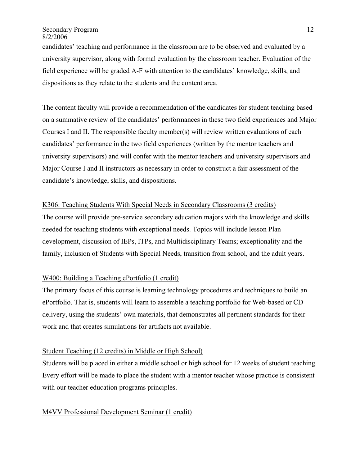## Secondary Program 12 8/2/2006

candidates' teaching and performance in the classroom are to be observed and evaluated by a university supervisor, along with formal evaluation by the classroom teacher. Evaluation of the field experience will be graded A-F with attention to the candidates' knowledge, skills, and dispositions as they relate to the students and the content area.

The content faculty will provide a recommendation of the candidates for student teaching based on a summative review of the candidates' performances in these two field experiences and Major Courses I and II. The responsible faculty member(s) will review written evaluations of each candidates' performance in the two field experiences (written by the mentor teachers and university supervisors) and will confer with the mentor teachers and university supervisors and Major Course I and II instructors as necessary in order to construct a fair assessment of the candidate's knowledge, skills, and dispositions.

# K306: Teaching Students With Special Needs in Secondary Classrooms (3 credits)

The course will provide pre-service secondary education majors with the knowledge and skills needed for teaching students with exceptional needs. Topics will include lesson Plan development, discussion of IEPs, ITPs, and Multidisciplinary Teams; exceptionality and the family, inclusion of Students with Special Needs, transition from school, and the adult years.

# W400: Building a Teaching ePortfolio (1 credit)

The primary focus of this course is learning technology procedures and techniques to build an ePortfolio. That is, students will learn to assemble a teaching portfolio for Web-based or CD delivery, using the students' own materials, that demonstrates all pertinent standards for their work and that creates simulations for artifacts not available.

## Student Teaching (12 credits) in Middle or High School)

Students will be placed in either a middle school or high school for 12 weeks of student teaching. Every effort will be made to place the student with a mentor teacher whose practice is consistent with our teacher education programs principles.

#### M4VV Professional Development Seminar (1 credit)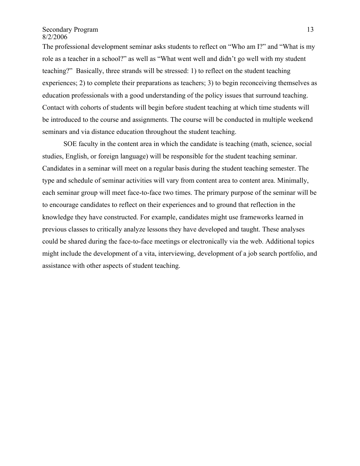Secondary Program 13 8/2/2006

The professional development seminar asks students to reflect on "Who am I?" and "What is my role as a teacher in a school?" as well as "What went well and didn't go well with my student teaching?" Basically, three strands will be stressed: 1) to reflect on the student teaching experiences; 2) to complete their preparations as teachers; 3) to begin reconceiving themselves as education professionals with a good understanding of the policy issues that surround teaching. Contact with cohorts of students will begin before student teaching at which time students will be introduced to the course and assignments. The course will be conducted in multiple weekend seminars and via distance education throughout the student teaching.

 SOE faculty in the content area in which the candidate is teaching (math, science, social studies, English, or foreign language) will be responsible for the student teaching seminar. Candidates in a seminar will meet on a regular basis during the student teaching semester. The type and schedule of seminar activities will vary from content area to content area. Minimally, each seminar group will meet face-to-face two times. The primary purpose of the seminar will be to encourage candidates to reflect on their experiences and to ground that reflection in the knowledge they have constructed. For example, candidates might use frameworks learned in previous classes to critically analyze lessons they have developed and taught. These analyses could be shared during the face-to-face meetings or electronically via the web. Additional topics might include the development of a vita, interviewing, development of a job search portfolio, and assistance with other aspects of student teaching.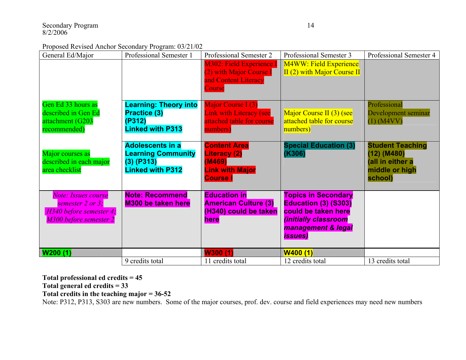Proposed Revised Anchor Secondary Program: 03/21/02

| General Ed/Major                                                                             | Professional Semester 1                                                                         | Professional Semester 2                                                                           | Professional Semester 3                                                                                                                           | Professional Semester 4                                                                   |
|----------------------------------------------------------------------------------------------|-------------------------------------------------------------------------------------------------|---------------------------------------------------------------------------------------------------|---------------------------------------------------------------------------------------------------------------------------------------------------|-------------------------------------------------------------------------------------------|
|                                                                                              |                                                                                                 | M302: Field Experience<br>(2) with Major Course I<br>and Content Literacy<br>Course               | <b>M4WW: Field Experience</b><br>$II(2)$ with Major Course II                                                                                     |                                                                                           |
| Gen Ed 33 hours as<br>described in Gen Ed<br>attachment (G203<br>recommended)                | <b>Learning: Theory into</b><br><b>Practice (3)</b><br>(P312)<br><b>Linked with P313</b>        | Major Course I (3)<br><b>Link with Literacy (see</b><br>attached table for course<br>numbers)     | Major Course II (3) (see<br>attached table for course<br>numbers)                                                                                 | Professional<br>Development seminar<br>$(1)$ (M4VV)                                       |
| Major courses as<br>described in each major<br>area checklist                                | <b>Adolescents in a</b><br><b>Learning Community</b><br>$(3)$ (P313)<br><b>Linked with P312</b> | <b>Content Area</b><br><b>Literacy (2)</b><br>(M469)<br><b>Link with Major</b><br><b>Course I</b> | <b>Special Education (3)</b><br>(K306)                                                                                                            | <b>Student Teaching</b><br>$(12)$ (M480)<br>(all in either a<br>middle or high<br>school) |
| Note: Issues course<br>semester 2 or 3;<br>H340 before semester 4;<br>M300 before semester 2 | <b>Note: Recommend</b><br><b>M300 be taken here</b>                                             | <b>Education in</b><br><b>American Culture (3)</b><br>(H340) could be taken<br>here               | <b>Topics in Secondary</b><br><b>Education (3) (S303)</b><br>could be taken here<br>(initially classroom<br>management & legal<br><i>issues</i> ) |                                                                                           |
| <b>W200 (1)</b>                                                                              |                                                                                                 | W300 (1)                                                                                          | <b>W400 (1)</b>                                                                                                                                   |                                                                                           |
|                                                                                              | 9 credits total                                                                                 | 11 credits total                                                                                  | 12 credits total                                                                                                                                  | 13 credits total                                                                          |

**Total professional ed credits = 45** 

**Total general ed credits = 33** 

**Total credits in the teaching major = 36-52**

Note: P312, P313, S303 are new numbers. Some of the major courses, prof. dev. course and field experiences may need new numbers